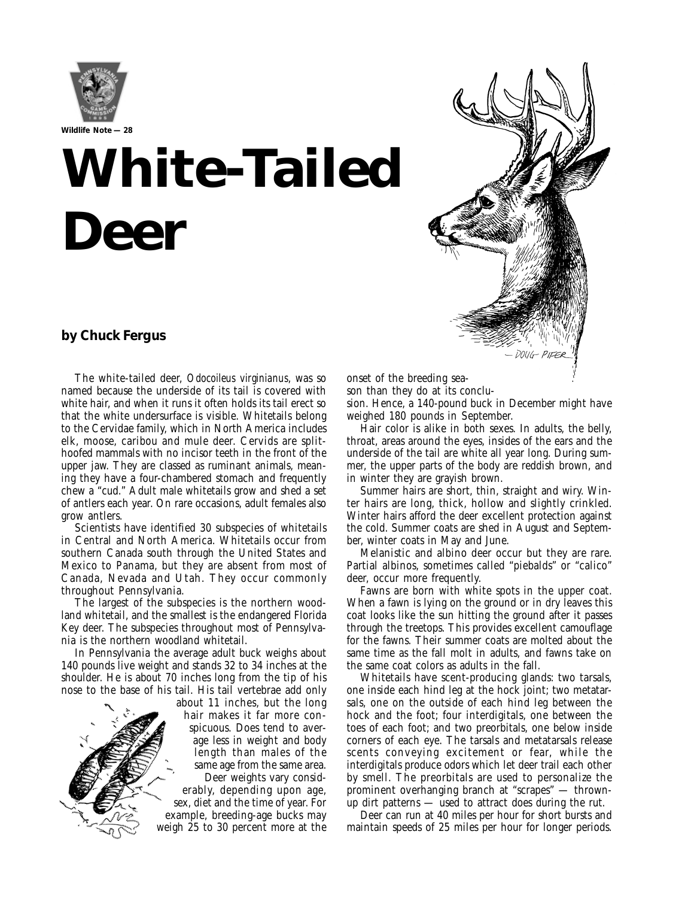

# **White-Tailed Deer**

### **by Chuck Fergus**

The white-tailed deer, *Odocoileus virginianus*, was so named because the underside of its tail is covered with white hair, and when it runs it often holds its tail erect so that the white undersurface is visible. Whitetails belong to the Cervidae family, which in North America includes elk, moose, caribou and mule deer. Cervids are splithoofed mammals with no incisor teeth in the front of the upper jaw. They are classed as ruminant animals, meaning they have a four-chambered stomach and frequently chew a "cud." Adult male whitetails grow and shed a set of antlers each year. On rare occasions, adult females also grow antlers.

Scientists have identified 30 subspecies of whitetails in Central and North America. Whitetails occur from southern Canada south through the United States and Mexico to Panama, but they are absent from most of Canada, Nevada and Utah. They occur commonly throughout Pennsylvania.

The largest of the subspecies is the northern woodland whitetail, and the smallest is the endangered Florida Key deer. The subspecies throughout most of Pennsylvania is the northern woodland whitetail.

In Pennsylvania the average adult buck weighs about 140 pounds live weight and stands 32 to 34 inches at the shoulder. He is about 70 inches long from the tip of his nose to the base of his tail. His tail vertebrae add only



about 11 inches, but the long hair makes it far more conspicuous. Does tend to average less in weight and body length than males of the same age from the same area. Deer weights vary consid-

erably, depending upon age, sex, diet and the time of year. For example, breeding-age bucks may weigh 25 to 30 percent more at the onset of the breeding sea-

son than they do at its conclusion. Hence, a 140-pound buck in December might have

weighed 180 pounds in September.

Hair color is alike in both sexes. In adults, the belly, throat, areas around the eyes, insides of the ears and the underside of the tail are white all year long. During summer, the upper parts of the body are reddish brown, and in winter they are grayish brown.

Summer hairs are short, thin, straight and wiry. Winter hairs are long, thick, hollow and slightly crinkled. Winter hairs afford the deer excellent protection against the cold. Summer coats are shed in August and September, winter coats in May and June.

Melanistic and albino deer occur but they are rare. Partial albinos, sometimes called "piebalds" or "calico" deer, occur more frequently.

Fawns are born with white spots in the upper coat. When a fawn is lying on the ground or in dry leaves this coat looks like the sun hitting the ground after it passes through the treetops. This provides excellent camouflage for the fawns. Their summer coats are molted about the same time as the fall molt in adults, and fawns take on the same coat colors as adults in the fall.

Whitetails have scent-producing glands: two tarsals, one inside each hind leg at the hock joint; two metatarsals, one on the outside of each hind leg between the hock and the foot; four interdigitals, one between the toes of each foot; and two preorbitals, one below inside corners of each eye. The tarsals and metatarsals release scents conveying excitement or fear, while the interdigitals produce odors which let deer trail each other by smell. The preorbitals are used to personalize the prominent overhanging branch at "scrapes" — thrownup dirt patterns — used to attract does during the rut.

Deer can run at 40 miles per hour for short bursts and maintain speeds of 25 miles per hour for longer periods.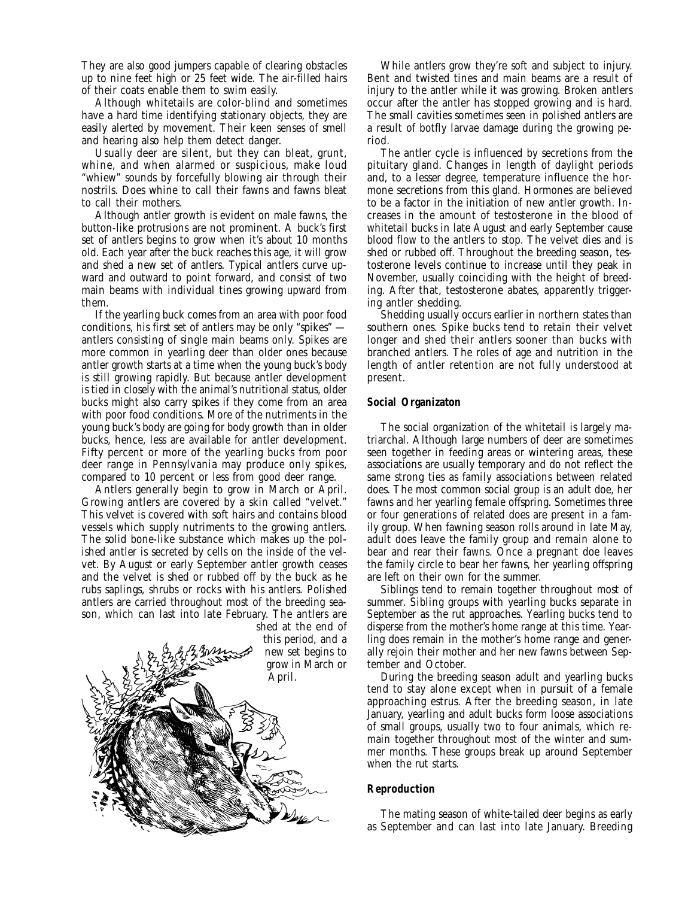They are also good jumpers capable of clearing obstacles up to nine feet high or 25 feet wide. The air-filled hairs of their coats enable them to swim easily.

Although whitetails are color-blind and sometimes have a hard time identifying stationary objects, they are easily alerted by movement. Their keen senses of smell and hearing also help them detect danger.

Usually deer are silent, but they can bleat, grunt, whine, and when alarmed or suspicious, make loud "whiew" sounds by forcefully blowing air through their nostrils. Does whine to call their fawns and fawns bleat to call their mothers.

Although antler growth is evident on male fawns, the button-like protrusions are not prominent. A buck's first set of antlers begins to grow when it's about 10 months old. Each year after the buck reaches this age, it will grow and shed a new set of antlers. Typical antlers curve upward and outward to point forward, and consist of two main beams with individual tines growing upward from them.

If the yearling buck comes from an area with poor food conditions, his first set of antlers may be only "spikes" antlers consisting of single main beams only. Spikes are more common in yearling deer than older ones because antler growth starts at a time when the young buck's body is still growing rapidly. But because antler development is tied in closely with the animal's nutritional status, older bucks might also carry spikes if they come from an area with poor food conditions. More of the nutriments in the young buck's body are going for body growth than in older bucks, hence, less are available for antler development. Fifty percent or more of the yearling bucks from poor deer range in Pennsylvania may produce only spikes, compared to 10 percent or less from good deer range.

Antlers generally begin to grow in March or April. Growing antlers are covered by a skin called "velvet." This velvet is covered with soft hairs and contains blood vessels which supply nutriments to the growing antlers. The solid bone-like substance which makes up the polished antler is secreted by cells on the inside of the velvet. By August or early September antler growth ceases and the velvet is shed or rubbed off by the buck as he rubs saplings, shrubs or rocks with his antlers. Polished antlers are carried throughout most of the breeding season, which can last into late February. The antlers are



While antlers grow they're soft and subject to injury. Bent and twisted tines and main beams are a result of injury to the antler while it was growing. Broken antlers occur after the antler has stopped growing and is hard. The small cavities sometimes seen in polished antlers are a result of botfly larvae damage during the growing period.

The antler cycle is influenced by secretions from the pituitary gland. Changes in length of daylight periods and, to a lesser degree, temperature influence the hormone secretions from this gland. Hormones are believed to be a factor in the initiation of new antler growth. Increases in the amount of testosterone in the blood of whitetail bucks in late August and early September cause blood flow to the antlers to stop. The velvet dies and is shed or rubbed off. Throughout the breeding season, testosterone levels continue to increase until they peak in November, usually coinciding with the height of breeding. After that, testosterone abates, apparently triggering antler shedding.

Shedding usually occurs earlier in northern states than southern ones. Spike bucks tend to retain their velvet longer and shed their antlers sooner than bucks with branched antlers. The roles of age and nutrition in the length of antler retention are not fully understood at present.

#### **Social Organizaton**

The social organization of the whitetail is largely matriarchal. Although large numbers of deer are sometimes seen together in feeding areas or wintering areas, these associations are usually temporary and do not reflect the same strong ties as family associations between related does. The most common social group is an adult doe, her fawns and her yearling female offspring. Sometimes three or four generations of related does are present in a family group. When fawning season rolls around in late May, adult does leave the family group and remain alone to bear and rear their fawns. Once a pregnant doe leaves the family circle to bear her fawns, her yearling offspring are left on their own for the summer.

Siblings tend to remain together throughout most of summer. Sibling groups with yearling bucks separate in September as the rut approaches. Yearling bucks tend to disperse from the mother's home range at this time. Yearling does remain in the mother's home range and generally rejoin their mother and her new fawns between September and October.

During the breeding season adult and yearling bucks tend to stay alone except when in pursuit of a female approaching estrus. After the breeding season, in late January, yearling and adult bucks form loose associations of small groups, usually two to four animals, which remain together throughout most of the winter and summer months. These groups break up around September when the rut starts.

#### **Reproduction**

The mating season of white-tailed deer begins as early as September and can last into late January. Breeding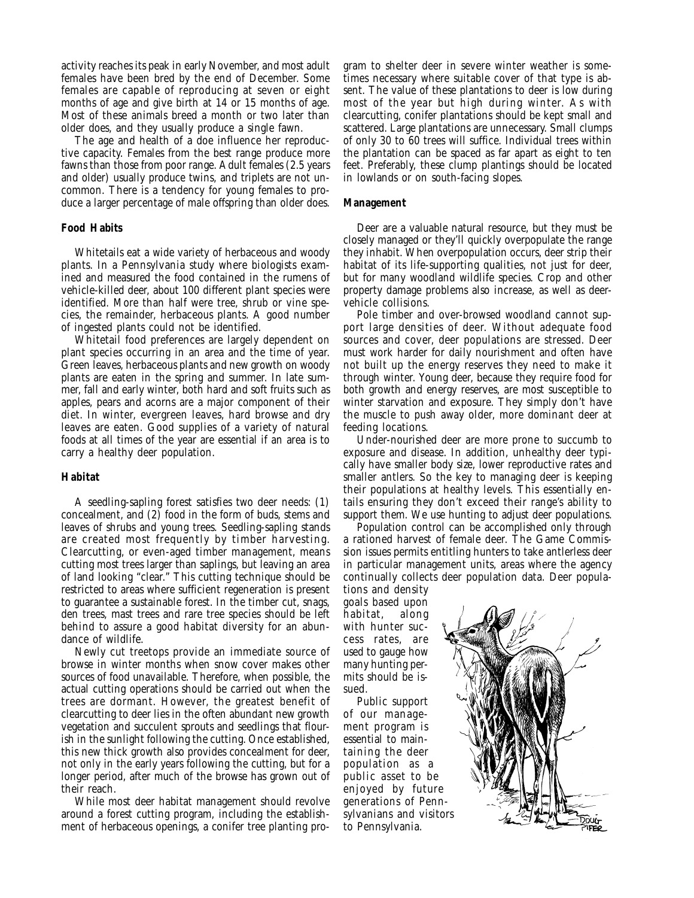activity reaches its peak in early November, and most adult females have been bred by the end of December. Some females are capable of reproducing at seven or eight months of age and give birth at 14 or 15 months of age. Most of these animals breed a month or two later than older does, and they usually produce a single fawn.

The age and health of a doe influence her reproductive capacity. Females from the best range produce more fawns than those from poor range. Adult females (2.5 years and older) usually produce twins, and triplets are not uncommon. There is a tendency for young females to produce a larger percentage of male offspring than older does.

#### **Food Habits**

Whitetails eat a wide variety of herbaceous and woody plants. In a Pennsylvania study where biologists examined and measured the food contained in the rumens of vehicle-killed deer, about 100 different plant species were identified. More than half were tree, shrub or vine species, the remainder, herbaceous plants. A good number of ingested plants could not be identified.

Whitetail food preferences are largely dependent on plant species occurring in an area and the time of year. Green leaves, herbaceous plants and new growth on woody plants are eaten in the spring and summer. In late summer, fall and early winter, both hard and soft fruits such as apples, pears and acorns are a major component of their diet. In winter, evergreen leaves, hard browse and dry leaves are eaten. Good supplies of a variety of natural foods at all times of the year are essential if an area is to carry a healthy deer population.

#### **Habitat**

A seedling-sapling forest satisfies two deer needs: (1) concealment, and (2) food in the form of buds, stems and leaves of shrubs and young trees. Seedling-sapling stands are created most frequently by timber harvesting. Clearcutting, or even-aged timber management, means cutting most trees larger than saplings, but leaving an area of land looking "clear." This cutting technique should be restricted to areas where sufficient regeneration is present to guarantee a sustainable forest. In the timber cut, snags, den trees, mast trees and rare tree species should be left behind to assure a good habitat diversity for an abundance of wildlife.

Newly cut treetops provide an immediate source of browse in winter months when snow cover makes other sources of food unavailable. Therefore, when possible, the actual cutting operations should be carried out when the trees are dormant. However, the greatest benefit of clearcutting to deer lies in the often abundant new growth vegetation and succulent sprouts and seedlings that flourish in the sunlight following the cutting. Once established, this new thick growth also provides concealment for deer, not only in the early years following the cutting, but for a longer period, after much of the browse has grown out of their reach.

While most deer habitat management should revolve around a forest cutting program, including the establishment of herbaceous openings, a conifer tree planting pro-

gram to shelter deer in severe winter weather is sometimes necessary where suitable cover of that type is absent. The value of these plantations to deer is low during most of the year but high during winter. As with clearcutting, conifer plantations should be kept small and scattered. Large plantations are unnecessary. Small clumps of only 30 to 60 trees will suffice. Individual trees within the plantation can be spaced as far apart as eight to ten feet. Preferably, these clump plantings should be located in lowlands or on south-facing slopes.

#### **Management**

Deer are a valuable natural resource, but they must be closely managed or they'll quickly overpopulate the range they inhabit. When overpopulation occurs, deer strip their habitat of its life-supporting qualities, not just for deer, but for many woodland wildlife species. Crop and other property damage problems also increase, as well as deervehicle collisions.

Pole timber and over-browsed woodland cannot support large densities of deer. Without adequate food sources and cover, deer populations are stressed. Deer must work harder for daily nourishment and often have not built up the energy reserves they need to make it through winter. Young deer, because they require food for both growth and energy reserves, are most susceptible to winter starvation and exposure. They simply don't have the muscle to push away older, more dominant deer at feeding locations.

Under-nourished deer are more prone to succumb to exposure and disease. In addition, unhealthy deer typically have smaller body size, lower reproductive rates and smaller antlers. So the key to managing deer is keeping their populations at healthy levels. This essentially entails ensuring they don't exceed their range's ability to support them. We use hunting to adjust deer populations.

Population control can be accomplished only through a rationed harvest of female deer. The Game Commission issues permits entitling hunters to take antlerless deer in particular management units, areas where the agency continually collects deer population data. Deer popula-

tions and density goals based upon habitat, along with hunter success rates, are used to gauge how many hunting permits should be issued.

Public support of our management program is essential to maintaining the deer population as a public asset to be enjoyed by future generations of Pennsylvanians and visitors to Pennsylvania.